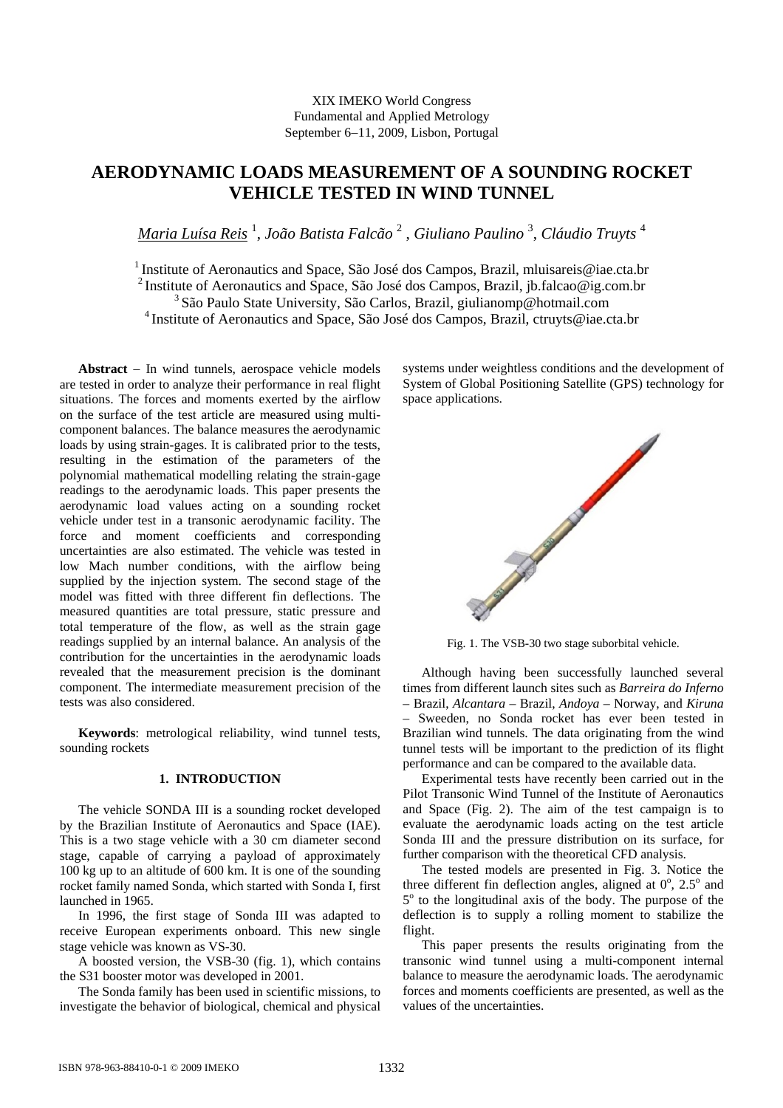# XIX IMEKO World Congress Fundamental and Applied Metrology September 6−11, 2009, Lisbon, Portugal

# **AERODYNAMIC LOADS MEASUREMENT OF A SOUNDING ROCKET VEHICLE TESTED IN WIND TUNNEL**

*Maria Luísa Reis* <sup>1</sup> , *João Batista Falcão* <sup>2</sup> , *Giuliano Paulino* <sup>3</sup> , *Cláudio Truyts* <sup>4</sup>

<sup>1</sup> Institute of Aeronautics and Space, São José dos Campos, Brazil, mluisareis@iae.cta.br 2 Institute of Aeronautics and Space, São José dos Campos, Brazil, jb.falcao@ig.com.br 3 São Paulo State University, São Carlos, Brazil, giulianomp@hotmail.com 4 Institute of Aeronautics and Space, São José dos Campos, Brazil, ctruyts@iae.cta.br

**Abstract** − In wind tunnels, aerospace vehicle models are tested in order to analyze their performance in real flight situations. The forces and moments exerted by the airflow on the surface of the test article are measured using multicomponent balances. The balance measures the aerodynamic loads by using strain-gages. It is calibrated prior to the tests, resulting in the estimation of the parameters of the polynomial mathematical modelling relating the strain-gage readings to the aerodynamic loads. This paper presents the aerodynamic load values acting on a sounding rocket vehicle under test in a transonic aerodynamic facility. The force and moment coefficients and corresponding uncertainties are also estimated. The vehicle was tested in low Mach number conditions, with the airflow being supplied by the injection system. The second stage of the model was fitted with three different fin deflections. The measured quantities are total pressure, static pressure and total temperature of the flow, as well as the strain gage readings supplied by an internal balance. An analysis of the contribution for the uncertainties in the aerodynamic loads revealed that the measurement precision is the dominant component. The intermediate measurement precision of the tests was also considered.

**Keywords**: metrological reliability, wind tunnel tests, sounding rockets

## **1. INTRODUCTION**

The vehicle SONDA III is a sounding rocket developed by the Brazilian Institute of Aeronautics and Space (IAE). This is a two stage vehicle with a 30 cm diameter second stage, capable of carrying a payload of approximately 100 kg up to an altitude of 600 km. It is one of the sounding rocket family named Sonda, which started with Sonda I, first launched in 1965.

In 1996, the first stage of Sonda III was adapted to receive European experiments onboard. This new single stage vehicle was known as VS-30.

A boosted version, the VSB-30 (fig. 1), which contains the S31 booster motor was developed in 2001.

The Sonda family has been used in scientific missions, to investigate the behavior of biological, chemical and physical systems under weightless conditions and the development of System of Global Positioning Satellite (GPS) technology for space applications.



Fig. 1. The VSB-30 two stage suborbital vehicle.

Although having been successfully launched several times from different launch sites such as *Barreira do Inferno*  – Brazil, *Alcantara* – Brazil, *Andoya* – Norway, and *Kiruna* – Sweeden, no Sonda rocket has ever been tested in Brazilian wind tunnels. The data originating from the wind tunnel tests will be important to the prediction of its flight performance and can be compared to the available data.

Experimental tests have recently been carried out in the Pilot Transonic Wind Tunnel of the Institute of Aeronautics and Space (Fig. 2). The aim of the test campaign is to evaluate the aerodynamic loads acting on the test article Sonda III and the pressure distribution on its surface, for further comparison with the theoretical CFD analysis.

The tested models are presented in Fig. 3. Notice the three different fin deflection angles, aligned at  $0^\circ$ ,  $2.5^\circ$  and 5<sup>o</sup> to the longitudinal axis of the body. The purpose of the deflection is to supply a rolling moment to stabilize the flight.

This paper presents the results originating from the transonic wind tunnel using a multi-component internal balance to measure the aerodynamic loads. The aerodynamic forces and moments coefficients are presented, as well as the values of the uncertainties.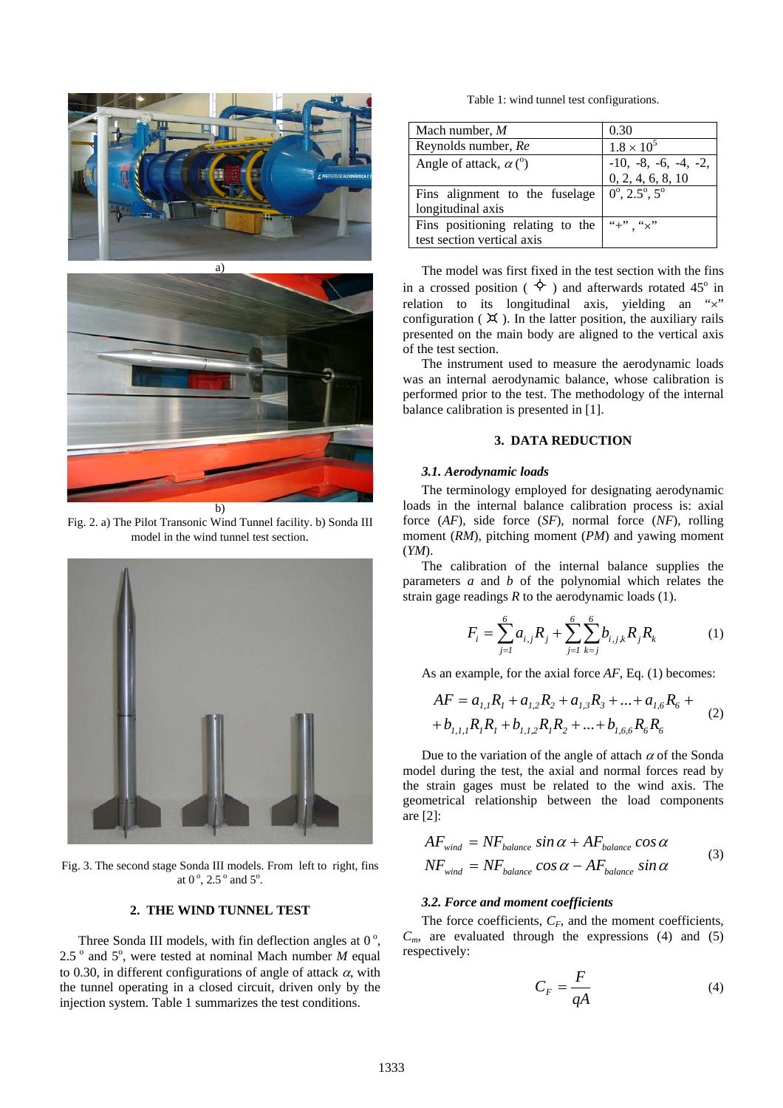



Fig. 2. a) The Pilot Transonic Wind Tunnel facility. b) Sonda III model in the wind tunnel test section.



Fig. 3. The second stage Sonda III models. From left to right, fins at  $0^\circ$ ,  $2.5^\circ$  and  $5^\circ$ .

# **2. THE WIND TUNNEL TEST**

Three Sonda III models, with fin deflection angles at  $0^\circ$ , 2.5 $^{\circ}$  and 5 $^{\circ}$ , were tested at nominal Mach number *M* equal to 0.30, in different configurations of angle of attack  $\alpha$ , with the tunnel operating in a closed circuit, driven only by the injection system. Table 1 summarizes the test conditions.

Table 1: wind tunnel test configurations.

| Mach number, M                          | 0.30                                        |
|-----------------------------------------|---------------------------------------------|
| Reynolds number, Re                     | $1.8 \times 10^{5}$                         |
| Angle of attack, $\alpha$ ( $\degree$ ) |                                             |
|                                         | $-10, -8, -6, -4, -2,$<br>0, 2, 4, 6, 8, 10 |
| Fins alignment to the fuselage          | $0^{\circ}$ , 2.5°, 5°                      |
| longitudinal axis                       |                                             |
| Fins positioning relating to the        | $``+"$ . " $\times"$                        |
| test section vertical axis              |                                             |

The model was first fixed in the test section with the fins in a crossed position ( $\Diamond$ ) and afterwards rotated 45<sup>o</sup> in relation to its longitudinal axis, yielding an "x" configuration ( $\uparrow \times$ ). In the latter position, the auxiliary rails presented on the main body are aligned to the vertical axis of the test section.

The instrument used to measure the aerodynamic loads was an internal aerodynamic balance, whose calibration is performed prior to the test. The methodology of the internal balance calibration is presented in [1].

## **3. DATA REDUCTION**

#### *3.1. Aerodynamic loads*

The terminology employed for designating aerodynamic loads in the internal balance calibration process is: axial force (*AF*), side force (*SF*), normal force (*NF*), rolling moment (*RM*), pitching moment (*PM*) and yawing moment (*YM*).

The calibration of the internal balance supplies the parameters *a* and *b* of the polynomial which relates the strain gage readings *R* to the aerodynamic loads (1).

$$
F_i = \sum_{j=1}^{6} a_{i,j} R_j + \sum_{j=1}^{6} \sum_{k=j}^{6} b_{i,j,k} R_j R_k \tag{1}
$$

As an example, for the axial force *AF*, Eq. (1) becomes:

$$
AF = a_{1,1}R_1 + a_{1,2}R_2 + a_{1,3}R_3 + \dots + a_{1,6}R_6 +
$$
  
+  $b_{1,1,1}R_1R_1 + b_{1,1,2}R_1R_2 + \dots + b_{1,6,6}R_6R_6$  (2)

Due to the variation of the angle of attach  $\alpha$  of the Sonda model during the test, the axial and normal forces read by the strain gages must be related to the wind axis. The geometrical relationship between the load components are [2]:

$$
AF_{wind} = NF_{balance} \sin \alpha + AF_{balance} \cos \alpha
$$
  

$$
NF_{wind} = NF_{balance} \cos \alpha - AF_{balance} \sin \alpha
$$
 (3)

#### *3.2. Force and moment coefficients*

The force coefficients,  $C_F$ , and the moment coefficients,  $C_m$ , are evaluated through the expressions (4) and (5) respectively:

$$
C_F = \frac{F}{qA} \tag{4}
$$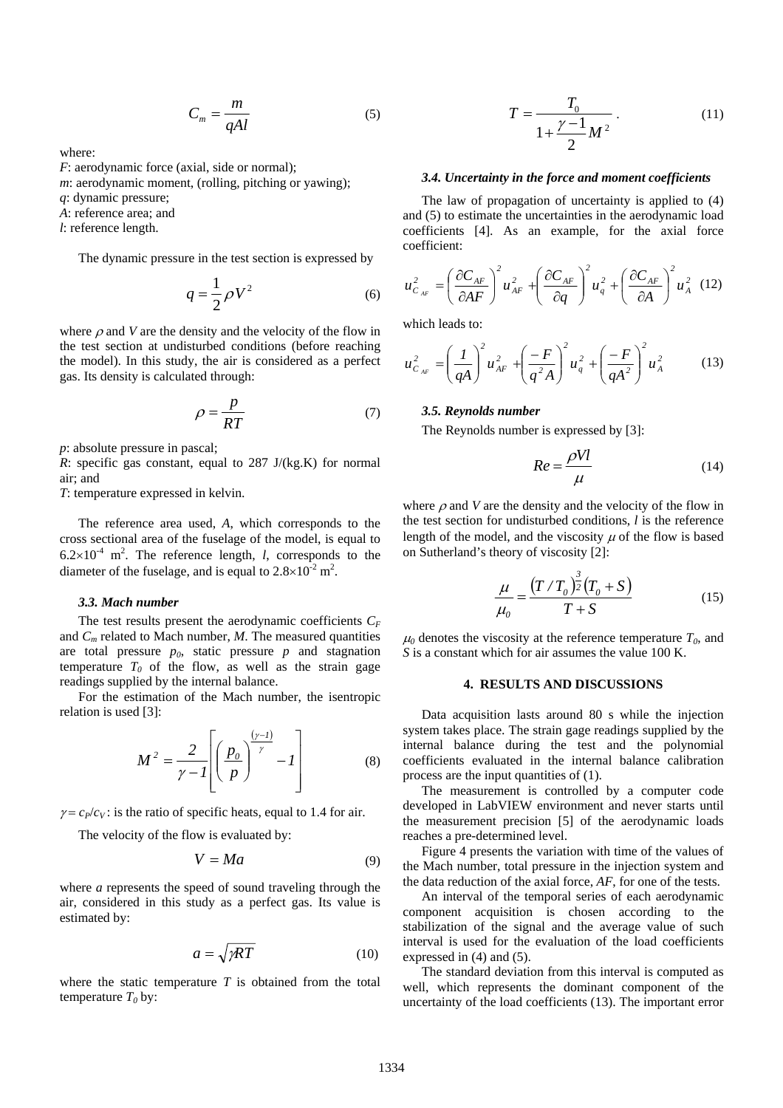$$
C_m = \frac{m}{qAl} \tag{5}
$$

where:

- *F*: aerodynamic force (axial, side or normal);
- *m*: aerodynamic moment, (rolling, pitching or yawing);
- *q*: dynamic pressure;
- *A*: reference area; and
- *l*: reference length.

The dynamic pressure in the test section is expressed by

$$
q = \frac{1}{2}\rho V^2 \tag{6}
$$

where  $\rho$  and *V* are the density and the velocity of the flow in the test section at undisturbed conditions (before reaching the model). In this study, the air is considered as a perfect gas. Its density is calculated through:

$$
\rho = \frac{p}{RT} \tag{7}
$$

*p*: absolute pressure in pascal;

*R*: specific gas constant, equal to 287 J/(kg.K) for normal air; and

*T*: temperature expressed in kelvin.

The reference area used, *A*, which corresponds to the cross sectional area of the fuselage of the model, is equal to  $6.2 \times 10^{-4}$  m<sup>2</sup>. The reference length, *l*, corresponds to the diameter of the fuselage, and is equal to  $2.8 \times 10^{-2}$  m<sup>2</sup>.

#### *3.3. Mach number*

The test results present the aerodynamic coefficients  $C_F$ and *Cm* related to Mach number, *M*. The measured quantities are total pressure  $p_0$ , static pressure  $p$  and stagnation temperature  $T_0$  of the flow, as well as the strain gage readings supplied by the internal balance.

For the estimation of the Mach number, the isentropic relation is used [3]:

$$
M^2 = \frac{2}{\gamma - 1} \left[ \left( \frac{p_0}{p} \right)^{\frac{(\gamma - 1)}{\gamma}} - 1 \right]
$$
 (8)

 $\gamma = c_P/c_V$ : is the ratio of specific heats, equal to 1.4 for air.

The velocity of the flow is evaluated by:

$$
V = Ma \tag{9}
$$

where *a* represents the speed of sound traveling through the air, considered in this study as a perfect gas. Its value is estimated by:

$$
a = \sqrt{\gamma RT} \tag{10}
$$

where the static temperature  $T$  is obtained from the total temperature  $T_0$  by:

$$
T = \frac{T_0}{1 + \frac{\gamma - 1}{2} M^2} \,. \tag{11}
$$

#### *3.4. Uncertainty in the force and moment coefficients*

The law of propagation of uncertainty is applied to (4) and (5) to estimate the uncertainties in the aerodynamic load coefficients [4]. As an example, for the axial force coefficient:

$$
u_{C_{AF}}^{2} = \left(\frac{\partial C_{AF}}{\partial AF}\right)^{2} u_{AF}^{2} + \left(\frac{\partial C_{AF}}{\partial q}\right)^{2} u_{q}^{2} + \left(\frac{\partial C_{AF}}{\partial A}\right)^{2} u_{A}^{2}
$$
 (12)

which leads to:

$$
u_{C_{AF}}^{2} = \left(\frac{I}{qA}\right)^{2} u_{AF}^{2} + \left(\frac{-F}{q^{2}A}\right)^{2} u_{q}^{2} + \left(\frac{-F}{qA^{2}}\right)^{2} u_{A}^{2}
$$
 (13)

#### *3.5. Reynolds number*

The Reynolds number is expressed by [3]:

$$
Re = \frac{\rho V l}{\mu} \tag{14}
$$

where  $\rho$  and *V* are the density and the velocity of the flow in the test section for undisturbed conditions, *l* is the reference length of the model, and the viscosity  $\mu$  of the flow is based on Sutherland's theory of viscosity [2]:

$$
\frac{\mu}{\mu_0} = \frac{\left(T/T_0\right)^{\frac{3}{2}}\left(T_0 + S\right)}{T + S}
$$
\n(15)

 $\mu_0$  denotes the viscosity at the reference temperature  $T_0$ , and *S* is a constant which for air assumes the value 100 K.

## **4. RESULTS AND DISCUSSIONS**

Data acquisition lasts around 80 s while the injection system takes place. The strain gage readings supplied by the internal balance during the test and the polynomial coefficients evaluated in the internal balance calibration process are the input quantities of (1).

The measurement is controlled by a computer code developed in LabVIEW environment and never starts until the measurement precision [5] of the aerodynamic loads reaches a pre-determined level.

Figure 4 presents the variation with time of the values of the Mach number, total pressure in the injection system and the data reduction of the axial force, *AF*, for one of the tests.

An interval of the temporal series of each aerodynamic component acquisition is chosen according to the stabilization of the signal and the average value of such interval is used for the evaluation of the load coefficients expressed in (4) and (5).

The standard deviation from this interval is computed as well, which represents the dominant component of the uncertainty of the load coefficients (13). The important error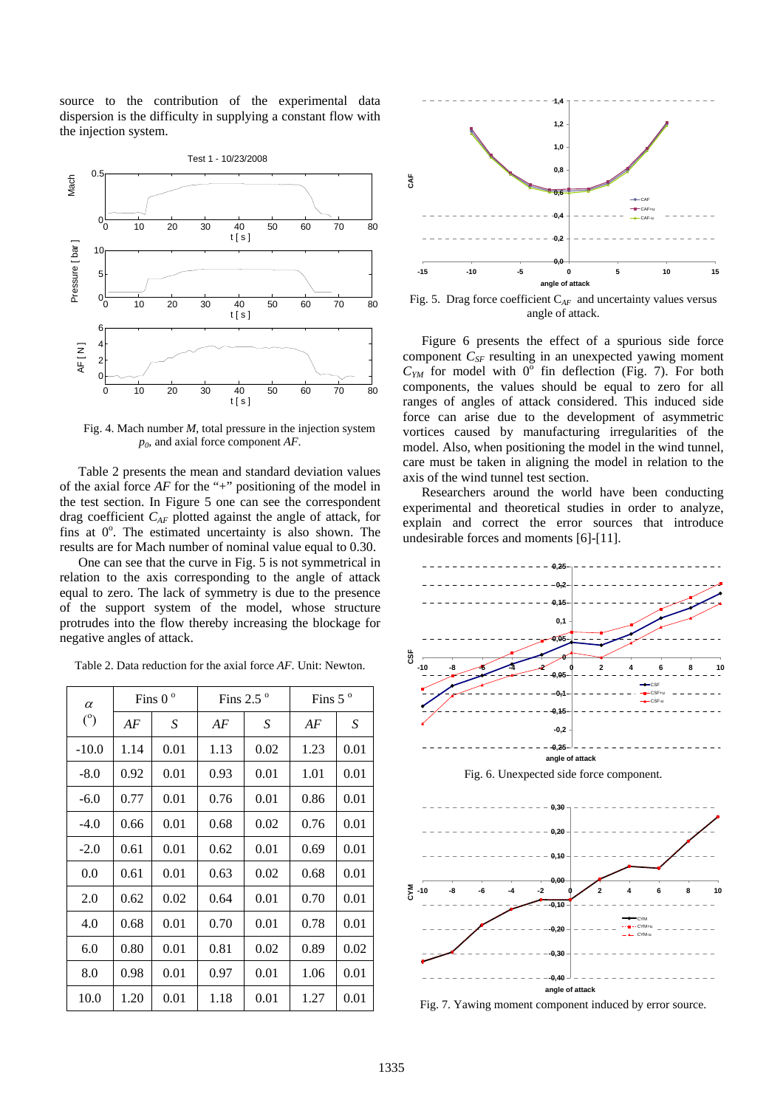source to the contribution of the experimental data dispersion is the difficulty in supplying a constant flow with the injection system.



Fig. 4. Mach number *M*, total pressure in the injection system *p0*, and axial force component *AF*.

Table 2 presents the mean and standard deviation values of the axial force *AF* for the "+" positioning of the model in the test section. In Figure 5 one can see the correspondent drag coefficient  $C_{AF}$  plotted against the angle of attack, for fins at  $0^\circ$ . The estimated uncertainty is also shown. The results are for Mach number of nominal value equal to 0.30.

One can see that the curve in Fig. 5 is not symmetrical in relation to the axis corresponding to the angle of attack equal to zero. The lack of symmetry is due to the presence of the support system of the model, whose structure protrudes into the flow thereby increasing the blockage for negative angles of attack.

| $\alpha$ | Fins $0^{\circ}$<br>Fins 2.5 $\degree$ |      | Fins $5^\circ$ |      |      |      |
|----------|----------------------------------------|------|----------------|------|------|------|
| (°)      | AF                                     | S    | AF             | S    | AF   | S    |
| $-10.0$  | 1.14                                   | 0.01 | 1.13           | 0.02 | 1.23 | 0.01 |
| $-8.0$   | 0.92                                   | 0.01 | 0.93           | 0.01 | 1.01 | 0.01 |
| $-6.0$   | 0.77                                   | 0.01 | 0.76           | 0.01 | 0.86 | 0.01 |
| $-4.0$   | 0.66                                   | 0.01 | 0.68           | 0.02 | 0.76 | 0.01 |
| $-2.0$   | 0.61                                   | 0.01 | 0.62           | 0.01 | 0.69 | 0.01 |
| 0.0      | 0.61                                   | 0.01 | 0.63           | 0.02 | 0.68 | 0.01 |
| 2.0      | 0.62                                   | 0.02 | 0.64           | 0.01 | 0.70 | 0.01 |
| 4.0      | 0.68                                   | 0.01 | 0.70           | 0.01 | 0.78 | 0.01 |
| 6.0      | 0.80                                   | 0.01 | 0.81           | 0.02 | 0.89 | 0.02 |
| 8.0      | 0.98                                   | 0.01 | 0.97           | 0.01 | 1.06 | 0.01 |
| 10.0     | 1.20                                   | 0.01 | 1.18           | 0.01 | 1.27 | 0.01 |

Table 2. Data reduction for the axial force *AF*. Unit: Newton.



Fig. 5. Drag force coefficient  $C_{AF}$  and uncertainty values versus angle of attack.

Figure 6 presents the effect of a spurious side force component  $C_{SF}$  resulting in an unexpected yawing moment  $C_{YM}$  for model with  $0^{\circ}$  fin deflection (Fig. 7). For both components, the values should be equal to zero for all ranges of angles of attack considered. This induced side force can arise due to the development of asymmetric vortices caused by manufacturing irregularities of the model. Also, when positioning the model in the wind tunnel, care must be taken in aligning the model in relation to the axis of the wind tunnel test section.

Researchers around the world have been conducting experimental and theoretical studies in order to analyze, explain and correct the error sources that introduce undesirable forces and moments [6]-[11].



Fig. 7. Yawing moment component induced by error source.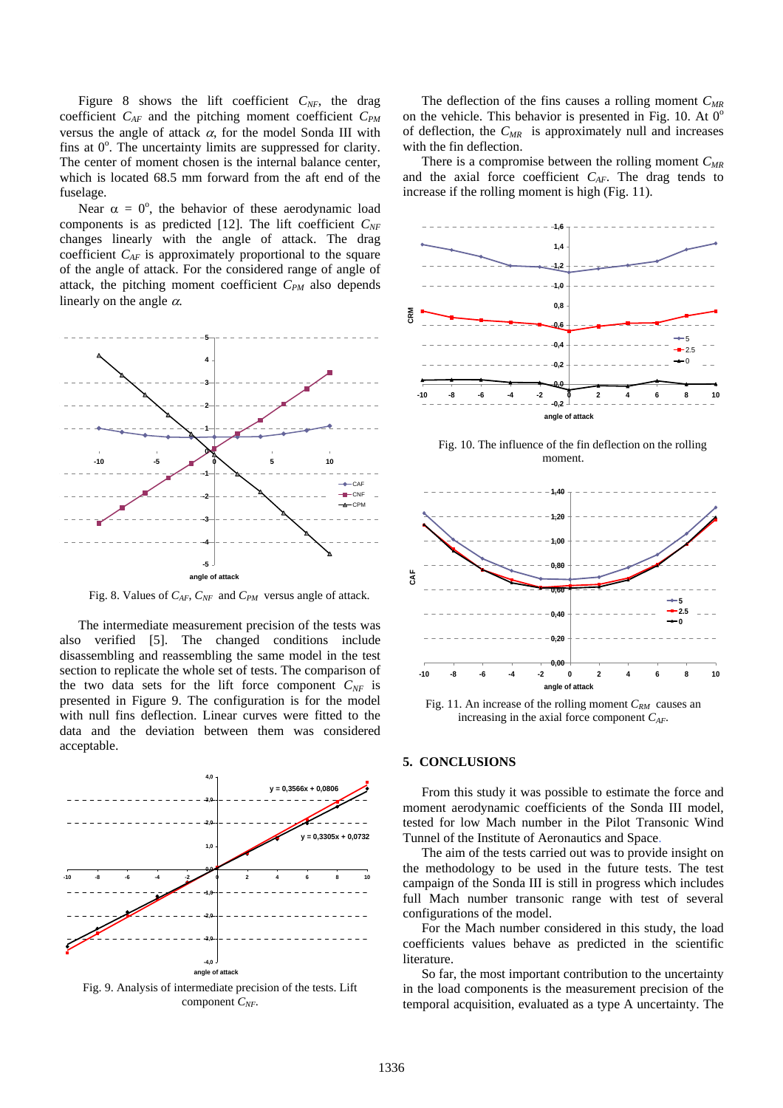Figure 8 shows the lift coefficient  $C_{NF}$ , the drag coefficient  $C_{AF}$  and the pitching moment coefficient  $C_{PM}$ versus the angle of attack  $\alpha$ , for the model Sonda III with fins at  $0^\circ$ . The uncertainty limits are suppressed for clarity. The center of moment chosen is the internal balance center, which is located 68.5 mm forward from the aft end of the fuselage.

Near  $\alpha = 0^{\circ}$ , the behavior of these aerodynamic load components is as predicted [12]. The lift coefficient  $C_{NF}$ changes linearly with the angle of attack. The drag coefficient *CAF* is approximately proportional to the square of the angle of attack. For the considered range of angle of attack, the pitching moment coefficient  $C_{PM}$  also depends linearly on the angle  $\alpha$ .



Fig. 8. Values of  $C_{AF}$ ,  $C_{NF}$  and  $C_{PM}$  versus angle of attack.

The intermediate measurement precision of the tests was also verified [5]. The changed conditions include disassembling and reassembling the same model in the test section to replicate the whole set of tests. The comparison of the two data sets for the lift force component  $C_{NF}$  is presented in Figure 9. The configuration is for the model with null fins deflection. Linear curves were fitted to the data and the deviation between them was considered acceptable.



The deflection of the fins causes a rolling moment  $C_{MR}$ on the vehicle. This behavior is presented in Fig. 10. At  $0^{\circ}$ of deflection, the  $C_{MR}$  is approximately null and increases with the fin deflection.

There is a compromise between the rolling moment  $C_{MR}$ and the axial force coefficient *CAF*. The drag tends to increase if the rolling moment is high (Fig. 11).



Fig. 10. The influence of the fin deflection on the rolling moment.



Fig. 11. An increase of the rolling moment  $C_{RM}$  causes an increasing in the axial force component *CAF*.

## **5. CONCLUSIONS**

From this study it was possible to estimate the force and moment aerodynamic coefficients of the Sonda III model, tested for low Mach number in the Pilot Transonic Wind Tunnel of the Institute of Aeronautics and Space.

The aim of the tests carried out was to provide insight on the methodology to be used in the future tests. The test campaign of the Sonda III is still in progress which includes full Mach number transonic range with test of several configurations of the model.

For the Mach number considered in this study, the load coefficients values behave as predicted in the scientific literature.

So far, the most important contribution to the uncertainty in the load components is the measurement precision of the temporal acquisition, evaluated as a type A uncertainty. The